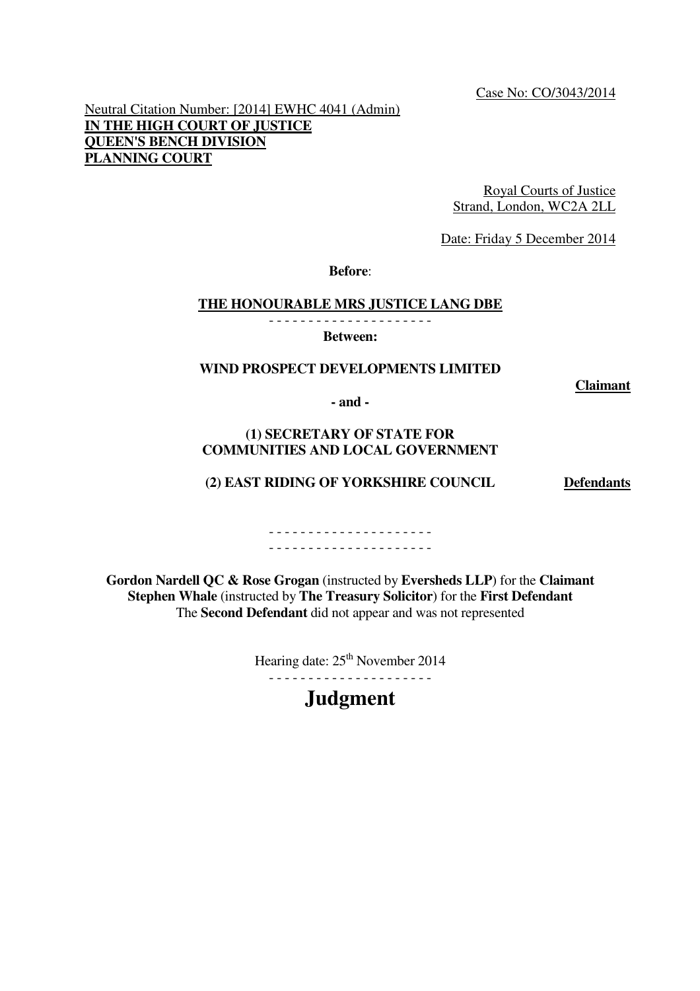Case No: CO/3043/2014

Neutral Citation Number: [2014] EWHC 4041 (Admin) **IN THE HIGH COURT OF JUSTICE QUEEN'S BENCH DIVISION PLANNING COURT** 

> Royal Courts of Justice Strand, London, WC2A 2LL

Date: Friday 5 December 2014

**Before**:

#### **THE HONOURABLE MRS JUSTICE LANG DBE**

- - - - - - - - - - - - - - - - - - - - -

**Between:** 

# **WIND PROSPECT DEVELOPMENTS LIMITED**

**Claimant**

**- and -** 

## **(1) SECRETARY OF STATE FOR COMMUNITIES AND LOCAL GOVERNMENT**

**(2) EAST RIDING OF YORKSHIRE COUNCIL Defendants**

- - - - - - - - - - - - - - - - - - - - - - - - - - - - - - - - - - - - - - - - - -

**Gordon Nardell QC & Rose Grogan** (instructed by **Eversheds LLP**) for the **Claimant Stephen Whale** (instructed by **The Treasury Solicitor**) for the **First Defendant**  The **Second Defendant** did not appear and was not represented

> Hearing date: 25<sup>th</sup> November 2014 - - - - - - - - - - - - - - - - - - - - -

> > **Judgment**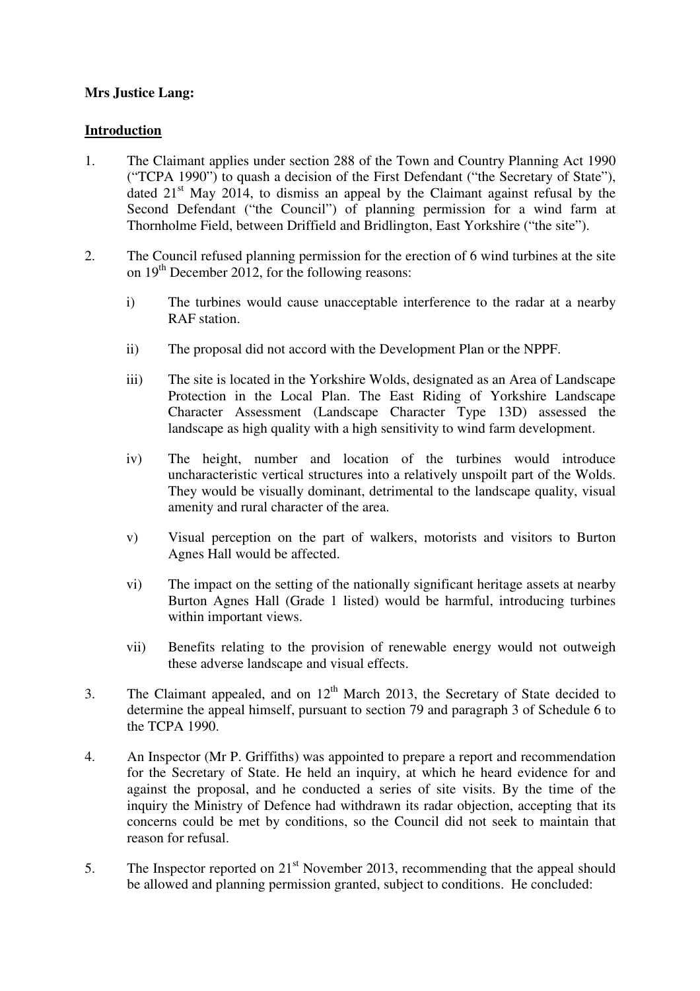# **Mrs Justice Lang:**

# **Introduction**

- 1. The Claimant applies under section 288 of the Town and Country Planning Act 1990 ("TCPA 1990") to quash a decision of the First Defendant ("the Secretary of State"), dated  $21<sup>st</sup>$  May 2014, to dismiss an appeal by the Claimant against refusal by the Second Defendant ("the Council") of planning permission for a wind farm at Thornholme Field, between Driffield and Bridlington, East Yorkshire ("the site").
- 2. The Council refused planning permission for the erection of 6 wind turbines at the site on  $19<sup>th</sup>$  December 2012, for the following reasons:
	- i) The turbines would cause unacceptable interference to the radar at a nearby RAF station.
	- ii) The proposal did not accord with the Development Plan or the NPPF.
	- iii) The site is located in the Yorkshire Wolds, designated as an Area of Landscape Protection in the Local Plan. The East Riding of Yorkshire Landscape Character Assessment (Landscape Character Type 13D) assessed the landscape as high quality with a high sensitivity to wind farm development.
	- iv) The height, number and location of the turbines would introduce uncharacteristic vertical structures into a relatively unspoilt part of the Wolds. They would be visually dominant, detrimental to the landscape quality, visual amenity and rural character of the area.
	- v) Visual perception on the part of walkers, motorists and visitors to Burton Agnes Hall would be affected.
	- vi) The impact on the setting of the nationally significant heritage assets at nearby Burton Agnes Hall (Grade 1 listed) would be harmful, introducing turbines within important views.
	- vii) Benefits relating to the provision of renewable energy would not outweigh these adverse landscape and visual effects.
- 3. The Claimant appealed, and on  $12<sup>th</sup>$  March 2013, the Secretary of State decided to determine the appeal himself, pursuant to section 79 and paragraph 3 of Schedule 6 to the TCPA 1990.
- 4. An Inspector (Mr P. Griffiths) was appointed to prepare a report and recommendation for the Secretary of State. He held an inquiry, at which he heard evidence for and against the proposal, and he conducted a series of site visits. By the time of the inquiry the Ministry of Defence had withdrawn its radar objection, accepting that its concerns could be met by conditions, so the Council did not seek to maintain that reason for refusal.
- 5. The Inspector reported on  $21<sup>st</sup>$  November 2013, recommending that the appeal should be allowed and planning permission granted, subject to conditions. He concluded: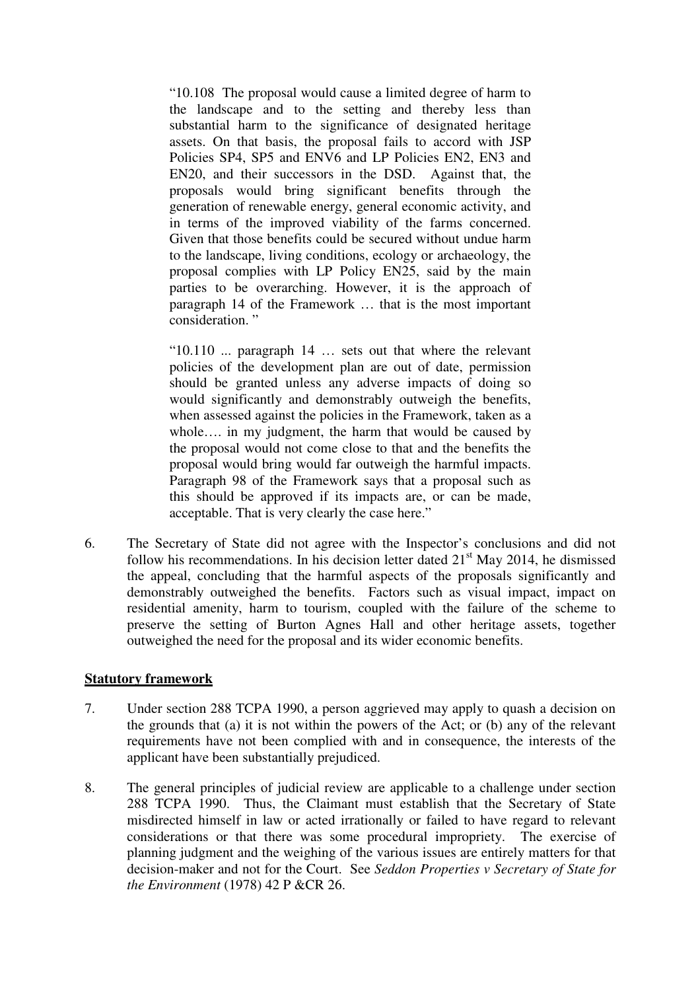"10.108 The proposal would cause a limited degree of harm to the landscape and to the setting and thereby less than substantial harm to the significance of designated heritage assets. On that basis, the proposal fails to accord with JSP Policies SP4, SP5 and ENV6 and LP Policies EN2, EN3 and EN20, and their successors in the DSD. Against that, the proposals would bring significant benefits through the generation of renewable energy, general economic activity, and in terms of the improved viability of the farms concerned. Given that those benefits could be secured without undue harm to the landscape, living conditions, ecology or archaeology, the proposal complies with LP Policy EN25, said by the main parties to be overarching. However, it is the approach of paragraph 14 of the Framework … that is the most important consideration."

"10.110 ... paragraph 14 … sets out that where the relevant policies of the development plan are out of date, permission should be granted unless any adverse impacts of doing so would significantly and demonstrably outweigh the benefits, when assessed against the policies in the Framework, taken as a whole.... in my judgment, the harm that would be caused by the proposal would not come close to that and the benefits the proposal would bring would far outweigh the harmful impacts. Paragraph 98 of the Framework says that a proposal such as this should be approved if its impacts are, or can be made, acceptable. That is very clearly the case here."

6. The Secretary of State did not agree with the Inspector's conclusions and did not follow his recommendations. In his decision letter dated  $21<sup>st</sup>$  May 2014, he dismissed the appeal, concluding that the harmful aspects of the proposals significantly and demonstrably outweighed the benefits. Factors such as visual impact, impact on residential amenity, harm to tourism, coupled with the failure of the scheme to preserve the setting of Burton Agnes Hall and other heritage assets, together outweighed the need for the proposal and its wider economic benefits.

### **Statutory framework**

- 7. Under section 288 TCPA 1990, a person aggrieved may apply to quash a decision on the grounds that (a) it is not within the powers of the Act; or (b) any of the relevant requirements have not been complied with and in consequence, the interests of the applicant have been substantially prejudiced.
- 8. The general principles of judicial review are applicable to a challenge under section 288 TCPA 1990. Thus, the Claimant must establish that the Secretary of State misdirected himself in law or acted irrationally or failed to have regard to relevant considerations or that there was some procedural impropriety. The exercise of planning judgment and the weighing of the various issues are entirely matters for that decision-maker and not for the Court. See *Seddon Properties v Secretary of State for the Environment* (1978) 42 P &CR 26.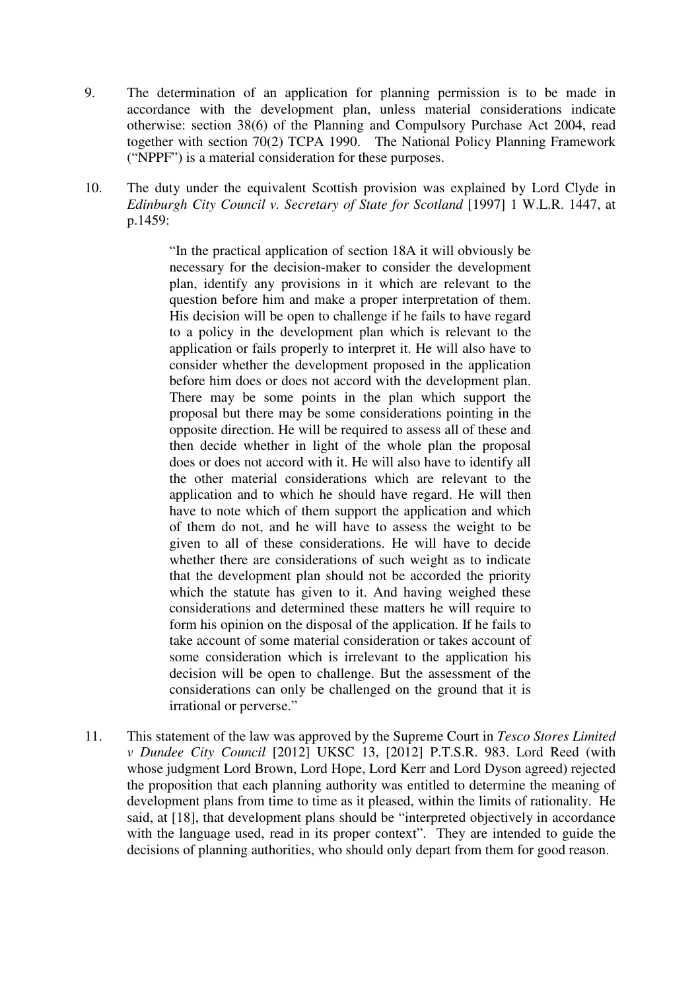- 9. The determination of an application for planning permission is to be made in accordance with the development plan, unless material considerations indicate otherwise: section 38(6) of the Planning and Compulsory Purchase Act 2004, read together with section 70(2) TCPA 1990. The National Policy Planning Framework ("NPPF") is a material consideration for these purposes.
- 10. The duty under the equivalent Scottish provision was explained by Lord Clyde in *Edinburgh City Council v. Secretary of State for Scotland* [1997] 1 W.L.R. 1447, at p.1459:

"In the practical application of section 18A it will obviously be necessary for the decision-maker to consider the development plan, identify any provisions in it which are relevant to the question before him and make a proper interpretation of them. His decision will be open to challenge if he fails to have regard to a policy in the development plan which is relevant to the application or fails properly to interpret it. He will also have to consider whether the development proposed in the application before him does or does not accord with the development plan. There may be some points in the plan which support the proposal but there may be some considerations pointing in the opposite direction. He will be required to assess all of these and then decide whether in light of the whole plan the proposal does or does not accord with it. He will also have to identify all the other material considerations which are relevant to the application and to which he should have regard. He will then have to note which of them support the application and which of them do not, and he will have to assess the weight to be given to all of these considerations. He will have to decide whether there are considerations of such weight as to indicate that the development plan should not be accorded the priority which the statute has given to it. And having weighed these considerations and determined these matters he will require to form his opinion on the disposal of the application. If he fails to take account of some material consideration or takes account of some consideration which is irrelevant to the application his decision will be open to challenge. But the assessment of the considerations can only be challenged on the ground that it is irrational or perverse."

11. This statement of the law was approved by the Supreme Court in *Tesco Stores Limited v Dundee City Council* [2012] UKSC 13, [2012] P.T.S.R. 983. Lord Reed (with whose judgment Lord Brown, Lord Hope, Lord Kerr and Lord Dyson agreed) rejected the proposition that each planning authority was entitled to determine the meaning of development plans from time to time as it pleased, within the limits of rationality. He said, at [18], that development plans should be "interpreted objectively in accordance with the language used, read in its proper context". They are intended to guide the decisions of planning authorities, who should only depart from them for good reason.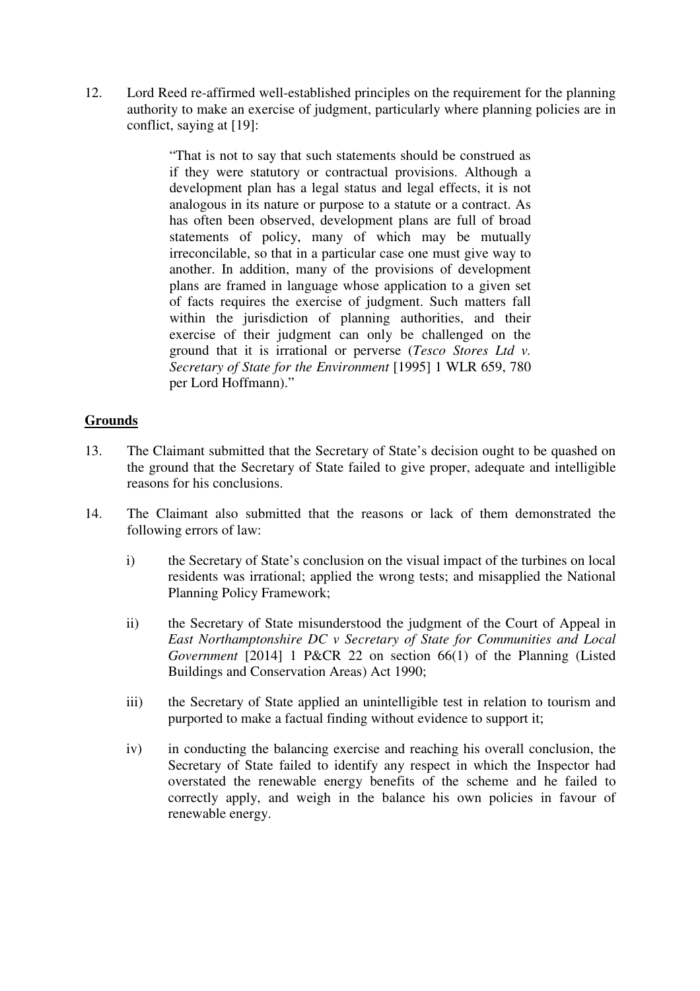12. Lord Reed re-affirmed well-established principles on the requirement for the planning authority to make an exercise of judgment, particularly where planning policies are in conflict, saying at [19]:

> "That is not to say that such statements should be construed as if they were statutory or contractual provisions. Although a development plan has a legal status and legal effects, it is not analogous in its nature or purpose to a statute or a contract. As has often been observed, development plans are full of broad statements of policy, many of which may be mutually irreconcilable, so that in a particular case one must give way to another. In addition, many of the provisions of development plans are framed in language whose application to a given set of facts requires the exercise of judgment. Such matters fall within the jurisdiction of planning authorities, and their exercise of their judgment can only be challenged on the ground that it is irrational or perverse (*Tesco Stores Ltd v. Secretary of State for the Environment* [1995] 1 WLR 659, 780 per Lord Hoffmann)."

# **Grounds**

- 13. The Claimant submitted that the Secretary of State's decision ought to be quashed on the ground that the Secretary of State failed to give proper, adequate and intelligible reasons for his conclusions.
- 14. The Claimant also submitted that the reasons or lack of them demonstrated the following errors of law:
	- i) the Secretary of State's conclusion on the visual impact of the turbines on local residents was irrational; applied the wrong tests; and misapplied the National Planning Policy Framework;
	- ii) the Secretary of State misunderstood the judgment of the Court of Appeal in *East Northamptonshire DC v Secretary of State for Communities and Local Government* [2014] 1 P&CR 22 on section 66(1) of the Planning (Listed Buildings and Conservation Areas) Act 1990;
	- iii) the Secretary of State applied an unintelligible test in relation to tourism and purported to make a factual finding without evidence to support it;
	- iv) in conducting the balancing exercise and reaching his overall conclusion, the Secretary of State failed to identify any respect in which the Inspector had overstated the renewable energy benefits of the scheme and he failed to correctly apply, and weigh in the balance his own policies in favour of renewable energy.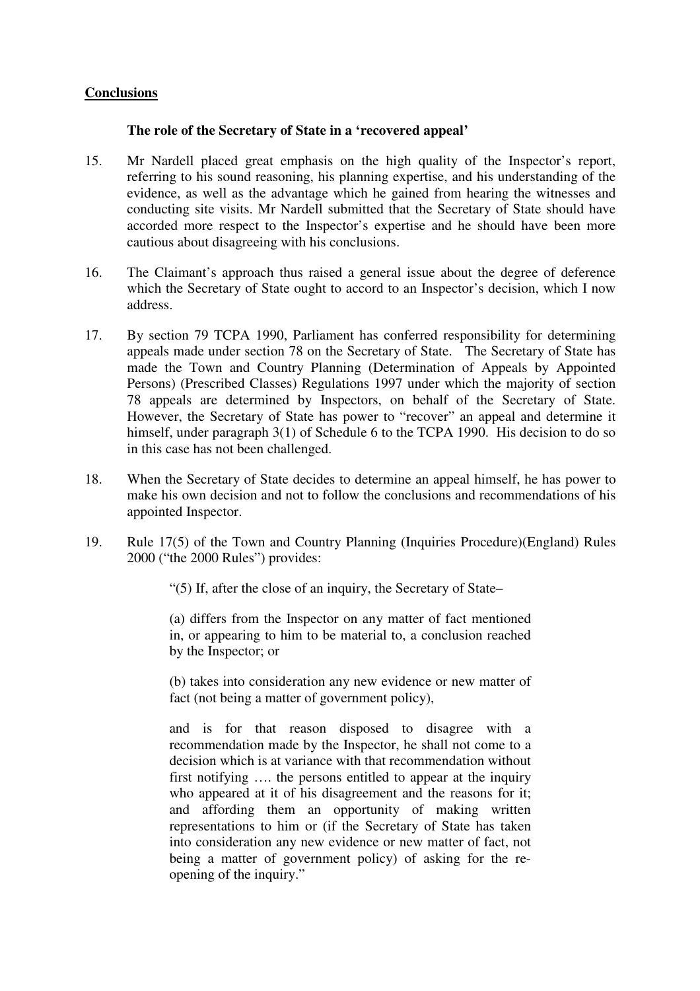### **Conclusions**

### **The role of the Secretary of State in a 'recovered appeal'**

- 15. Mr Nardell placed great emphasis on the high quality of the Inspector's report, referring to his sound reasoning, his planning expertise, and his understanding of the evidence, as well as the advantage which he gained from hearing the witnesses and conducting site visits. Mr Nardell submitted that the Secretary of State should have accorded more respect to the Inspector's expertise and he should have been more cautious about disagreeing with his conclusions.
- 16. The Claimant's approach thus raised a general issue about the degree of deference which the Secretary of State ought to accord to an Inspector's decision, which I now address.
- 17. By section 79 TCPA 1990, Parliament has conferred responsibility for determining appeals made under section 78 on the Secretary of State. The Secretary of State has made the Town and Country Planning (Determination of Appeals by Appointed Persons) (Prescribed Classes) Regulations 1997 under which the majority of section 78 appeals are determined by Inspectors, on behalf of the Secretary of State. However, the Secretary of State has power to "recover" an appeal and determine it himself, under paragraph 3(1) of Schedule 6 to the TCPA 1990. His decision to do so in this case has not been challenged.
- 18. When the Secretary of State decides to determine an appeal himself, he has power to make his own decision and not to follow the conclusions and recommendations of his appointed Inspector.
- 19. Rule 17(5) of the Town and Country Planning (Inquiries Procedure)(England) Rules 2000 ("the 2000 Rules") provides:

"(5) If, after the close of an inquiry, the Secretary of State–

(a) differs from the Inspector on any matter of fact mentioned in, or appearing to him to be material to, a conclusion reached by the Inspector; or

(b) takes into consideration any new evidence or new matter of fact (not being a matter of government policy),

and is for that reason disposed to disagree with a recommendation made by the Inspector, he shall not come to a decision which is at variance with that recommendation without first notifying …. the persons entitled to appear at the inquiry who appeared at it of his disagreement and the reasons for it; and affording them an opportunity of making written representations to him or (if the Secretary of State has taken into consideration any new evidence or new matter of fact, not being a matter of government policy) of asking for the reopening of the inquiry."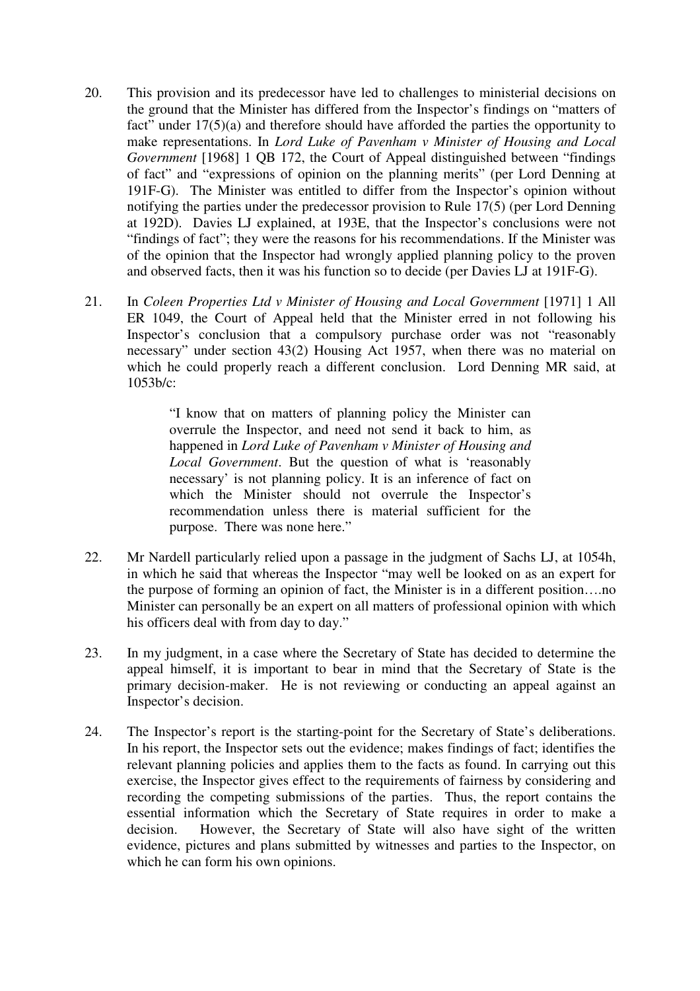- 20. This provision and its predecessor have led to challenges to ministerial decisions on the ground that the Minister has differed from the Inspector's findings on "matters of fact" under 17(5)(a) and therefore should have afforded the parties the opportunity to make representations. In *Lord Luke of Pavenham v Minister of Housing and Local Government* [1968] 1 QB 172, the Court of Appeal distinguished between "findings of fact" and "expressions of opinion on the planning merits" (per Lord Denning at 191F-G). The Minister was entitled to differ from the Inspector's opinion without notifying the parties under the predecessor provision to Rule 17(5) (per Lord Denning at 192D). Davies LJ explained, at 193E, that the Inspector's conclusions were not "findings of fact"; they were the reasons for his recommendations. If the Minister was of the opinion that the Inspector had wrongly applied planning policy to the proven and observed facts, then it was his function so to decide (per Davies LJ at 191F-G).
- 21. In *Coleen Properties Ltd v Minister of Housing and Local Government* [1971] 1 All ER 1049, the Court of Appeal held that the Minister erred in not following his Inspector's conclusion that a compulsory purchase order was not "reasonably necessary" under section 43(2) Housing Act 1957, when there was no material on which he could properly reach a different conclusion. Lord Denning MR said, at 1053b/c:

"I know that on matters of planning policy the Minister can overrule the Inspector, and need not send it back to him, as happened in *Lord Luke of Pavenham v Minister of Housing and Local Government*. But the question of what is 'reasonably necessary' is not planning policy. It is an inference of fact on which the Minister should not overrule the Inspector's recommendation unless there is material sufficient for the purpose. There was none here."

- 22. Mr Nardell particularly relied upon a passage in the judgment of Sachs LJ, at 1054h, in which he said that whereas the Inspector "may well be looked on as an expert for the purpose of forming an opinion of fact, the Minister is in a different position….no Minister can personally be an expert on all matters of professional opinion with which his officers deal with from day to day."
- 23. In my judgment, in a case where the Secretary of State has decided to determine the appeal himself, it is important to bear in mind that the Secretary of State is the primary decision-maker. He is not reviewing or conducting an appeal against an Inspector's decision.
- 24. The Inspector's report is the starting-point for the Secretary of State's deliberations. In his report, the Inspector sets out the evidence; makes findings of fact; identifies the relevant planning policies and applies them to the facts as found. In carrying out this exercise, the Inspector gives effect to the requirements of fairness by considering and recording the competing submissions of the parties. Thus, the report contains the essential information which the Secretary of State requires in order to make a decision. However, the Secretary of State will also have sight of the written evidence, pictures and plans submitted by witnesses and parties to the Inspector, on which he can form his own opinions.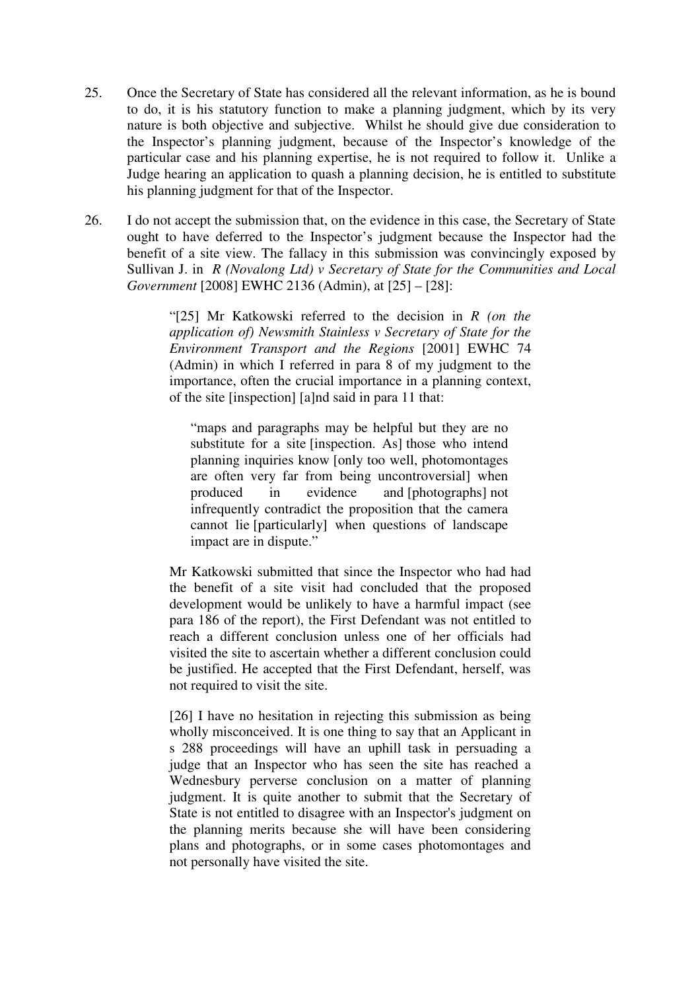- 25. Once the Secretary of State has considered all the relevant information, as he is bound to do, it is his statutory function to make a planning judgment, which by its very nature is both objective and subjective. Whilst he should give due consideration to the Inspector's planning judgment, because of the Inspector's knowledge of the particular case and his planning expertise, he is not required to follow it. Unlike a Judge hearing an application to quash a planning decision, he is entitled to substitute his planning judgment for that of the Inspector.
- 26. I do not accept the submission that, on the evidence in this case, the Secretary of State ought to have deferred to the Inspector's judgment because the Inspector had the benefit of a site view. The fallacy in this submission was convincingly exposed by Sullivan J. in *R (Novalong Ltd) v Secretary of State for the Communities and Local Government* [2008] EWHC 2136 (Admin), at [25] – [28]:

"[25] Mr Katkowski referred to the decision in *R (on the application of) Newsmith Stainless v Secretary of State for the Environment Transport and the Regions* [2001] EWHC 74 (Admin) in which I referred in para 8 of my judgment to the importance, often the crucial importance in a planning context, of the site [inspection] [a]nd said in para 11 that:

"maps and paragraphs may be helpful but they are no substitute for a site [inspection. As] those who intend planning inquiries know [only too well, photomontages are often very far from being uncontroversial] when produced in evidence and [photographs] not infrequently contradict the proposition that the camera cannot lie [particularly] when questions of landscape impact are in dispute."

Mr Katkowski submitted that since the Inspector who had had the benefit of a site visit had concluded that the proposed development would be unlikely to have a harmful impact (see para 186 of the report), the First Defendant was not entitled to reach a different conclusion unless one of her officials had visited the site to ascertain whether a different conclusion could be justified. He accepted that the First Defendant, herself, was not required to visit the site.

[26] I have no hesitation in rejecting this submission as being wholly misconceived. It is one thing to say that an Applicant in s 288 proceedings will have an uphill task in persuading a judge that an Inspector who has seen the site has reached a Wednesbury perverse conclusion on a matter of planning judgment. It is quite another to submit that the Secretary of State is not entitled to disagree with an Inspector's judgment on the planning merits because she will have been considering plans and photographs, or in some cases photomontages and not personally have visited the site.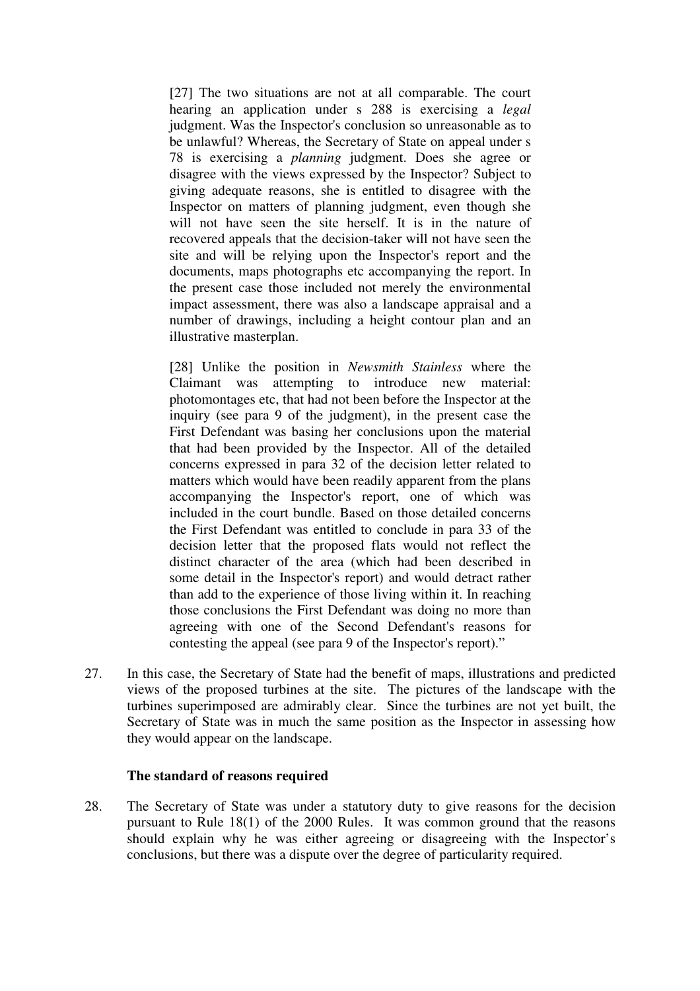[27] The two situations are not at all comparable. The court hearing an application under s 288 is exercising a *legal* judgment. Was the Inspector's conclusion so unreasonable as to be unlawful? Whereas, the Secretary of State on appeal under s 78 is exercising a *planning* judgment. Does she agree or disagree with the views expressed by the Inspector? Subject to giving adequate reasons, she is entitled to disagree with the Inspector on matters of planning judgment, even though she will not have seen the site herself. It is in the nature of recovered appeals that the decision-taker will not have seen the site and will be relying upon the Inspector's report and the documents, maps photographs etc accompanying the report. In the present case those included not merely the environmental impact assessment, there was also a landscape appraisal and a number of drawings, including a height contour plan and an illustrative masterplan.

[28] Unlike the position in *Newsmith Stainless* where the Claimant was attempting to introduce new material: photomontages etc, that had not been before the Inspector at the inquiry (see para 9 of the judgment), in the present case the First Defendant was basing her conclusions upon the material that had been provided by the Inspector. All of the detailed concerns expressed in para 32 of the decision letter related to matters which would have been readily apparent from the plans accompanying the Inspector's report, one of which was included in the court bundle. Based on those detailed concerns the First Defendant was entitled to conclude in para 33 of the decision letter that the proposed flats would not reflect the distinct character of the area (which had been described in some detail in the Inspector's report) and would detract rather than add to the experience of those living within it. In reaching those conclusions the First Defendant was doing no more than agreeing with one of the Second Defendant's reasons for contesting the appeal (see para 9 of the Inspector's report)."

27. In this case, the Secretary of State had the benefit of maps, illustrations and predicted views of the proposed turbines at the site. The pictures of the landscape with the turbines superimposed are admirably clear. Since the turbines are not yet built, the Secretary of State was in much the same position as the Inspector in assessing how they would appear on the landscape.

#### **The standard of reasons required**

28. The Secretary of State was under a statutory duty to give reasons for the decision pursuant to Rule 18(1) of the 2000 Rules. It was common ground that the reasons should explain why he was either agreeing or disagreeing with the Inspector's conclusions, but there was a dispute over the degree of particularity required.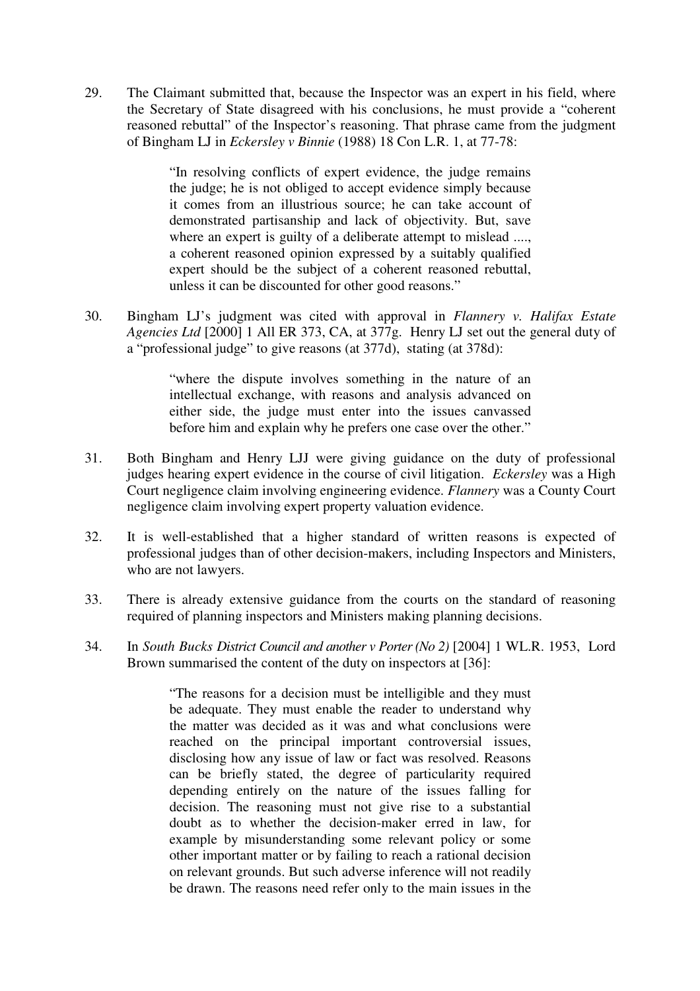29. The Claimant submitted that, because the Inspector was an expert in his field, where the Secretary of State disagreed with his conclusions, he must provide a "coherent reasoned rebuttal" of the Inspector's reasoning. That phrase came from the judgment of Bingham LJ in *Eckersley v Binnie* (1988) 18 Con L.R. 1, at 77-78:

> "In resolving conflicts of expert evidence, the judge remains the judge; he is not obliged to accept evidence simply because it comes from an illustrious source; he can take account of demonstrated partisanship and lack of objectivity. But, save where an expert is guilty of a deliberate attempt to mislead ...., a coherent reasoned opinion expressed by a suitably qualified expert should be the subject of a coherent reasoned rebuttal, unless it can be discounted for other good reasons."

30. Bingham LJ's judgment was cited with approval in *Flannery v. Halifax Estate Agencies Ltd* [2000] 1 All ER 373, CA, at 377g. Henry LJ set out the general duty of a "professional judge" to give reasons (at 377d), stating (at 378d):

> "where the dispute involves something in the nature of an intellectual exchange, with reasons and analysis advanced on either side, the judge must enter into the issues canvassed before him and explain why he prefers one case over the other."

- 31. Both Bingham and Henry LJJ were giving guidance on the duty of professional judges hearing expert evidence in the course of civil litigation. *Eckersley* was a High Court negligence claim involving engineering evidence. *Flannery* was a County Court negligence claim involving expert property valuation evidence.
- 32. It is well-established that a higher standard of written reasons is expected of professional judges than of other decision-makers, including Inspectors and Ministers, who are not lawyers.
- 33. There is already extensive guidance from the courts on the standard of reasoning required of planning inspectors and Ministers making planning decisions.
- 34. In *South Bucks District Council and another v Porter (No 2)* [2004] 1 WL.R. 1953, Lord Brown summarised the content of the duty on inspectors at [36]:

"The reasons for a decision must be intelligible and they must be adequate. They must enable the reader to understand why the matter was decided as it was and what conclusions were reached on the principal important controversial issues, disclosing how any issue of law or fact was resolved. Reasons can be briefly stated, the degree of particularity required depending entirely on the nature of the issues falling for decision. The reasoning must not give rise to a substantial doubt as to whether the decision-maker erred in law, for example by misunderstanding some relevant policy or some other important matter or by failing to reach a rational decision on relevant grounds. But such adverse inference will not readily be drawn. The reasons need refer only to the main issues in the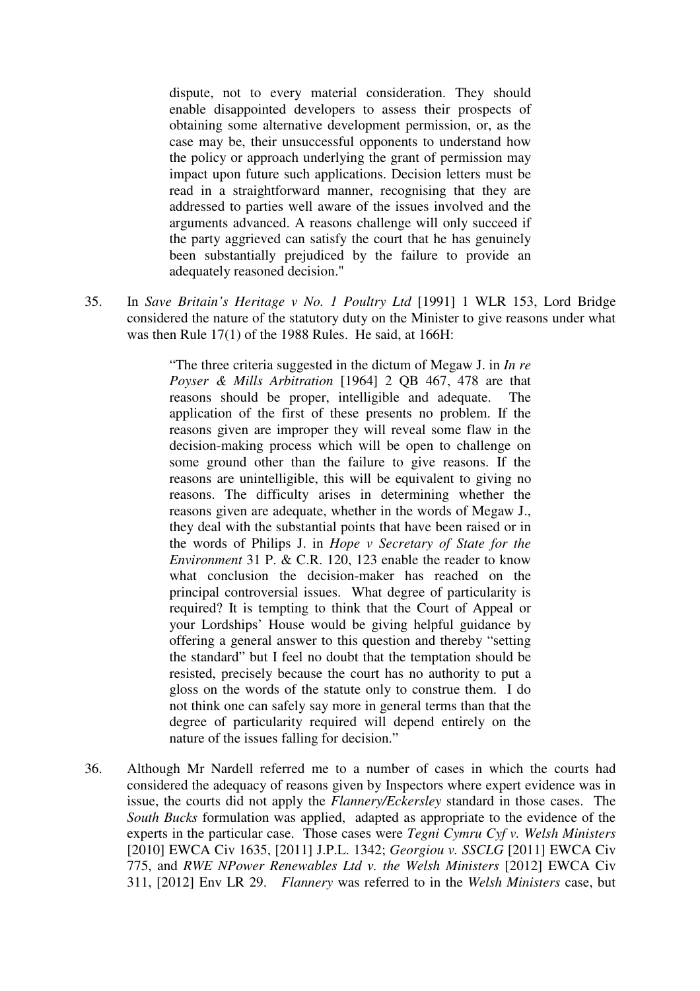dispute, not to every material consideration. They should enable disappointed developers to assess their prospects of obtaining some alternative development permission, or, as the case may be, their unsuccessful opponents to understand how the policy or approach underlying the grant of permission may impact upon future such applications. Decision letters must be read in a straightforward manner, recognising that they are addressed to parties well aware of the issues involved and the arguments advanced. A reasons challenge will only succeed if the party aggrieved can satisfy the court that he has genuinely been substantially prejudiced by the failure to provide an adequately reasoned decision."

35. In *Save Britain's Heritage v No. 1 Poultry Ltd* [1991] 1 WLR 153, Lord Bridge considered the nature of the statutory duty on the Minister to give reasons under what was then Rule 17(1) of the 1988 Rules. He said, at 166H:

> "The three criteria suggested in the dictum of Megaw J. in *In re Poyser & Mills Arbitration* [1964] 2 QB 467, 478 are that reasons should be proper, intelligible and adequate. The application of the first of these presents no problem. If the reasons given are improper they will reveal some flaw in the decision-making process which will be open to challenge on some ground other than the failure to give reasons. If the reasons are unintelligible, this will be equivalent to giving no reasons. The difficulty arises in determining whether the reasons given are adequate, whether in the words of Megaw J., they deal with the substantial points that have been raised or in the words of Philips J. in *Hope v Secretary of State for the Environment* 31 P. & C.R. 120, 123 enable the reader to know what conclusion the decision-maker has reached on the principal controversial issues. What degree of particularity is required? It is tempting to think that the Court of Appeal or your Lordships' House would be giving helpful guidance by offering a general answer to this question and thereby "setting the standard" but I feel no doubt that the temptation should be resisted, precisely because the court has no authority to put a gloss on the words of the statute only to construe them. I do not think one can safely say more in general terms than that the degree of particularity required will depend entirely on the nature of the issues falling for decision."

36. Although Mr Nardell referred me to a number of cases in which the courts had considered the adequacy of reasons given by Inspectors where expert evidence was in issue, the courts did not apply the *Flannery/Eckersley* standard in those cases. The *South Bucks* formulation was applied, adapted as appropriate to the evidence of the experts in the particular case. Those cases were *Tegni Cymru Cyf v. Welsh Ministers* [2010] EWCA Civ 1635, [2011] J.P.L. 1342; *Georgiou v. SSCLG* [2011] EWCA Civ 775, and *RWE NPower Renewables Ltd v. the Welsh Ministers* [2012] EWCA Civ 311, [2012] Env LR 29. *Flannery* was referred to in the *Welsh Ministers* case, but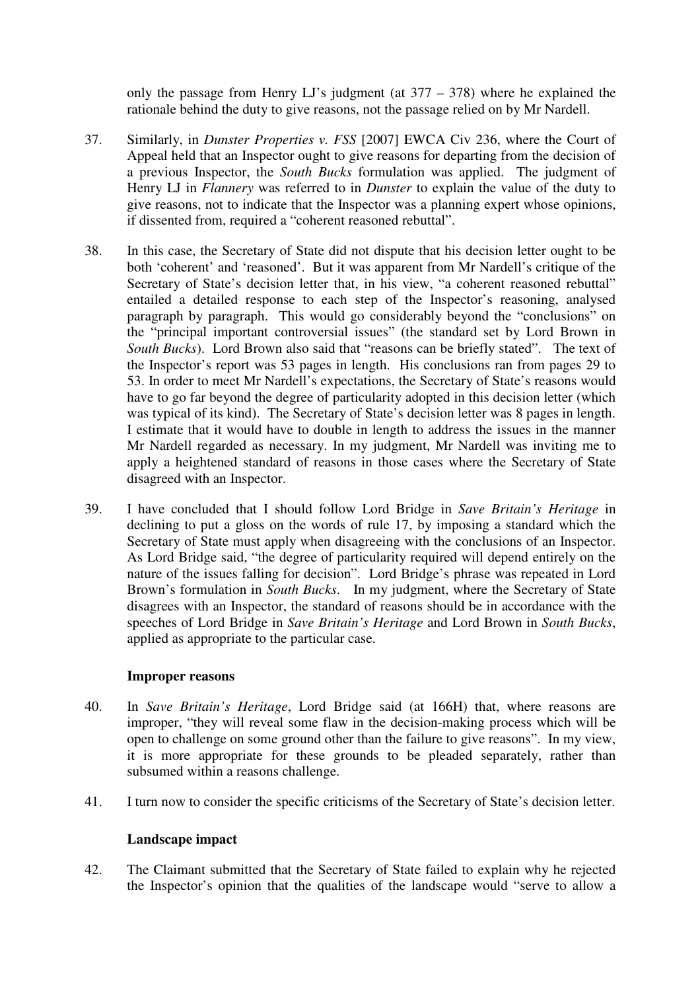only the passage from Henry LJ's judgment (at 377 – 378) where he explained the rationale behind the duty to give reasons, not the passage relied on by Mr Nardell.

- 37. Similarly, in *Dunster Properties v. FSS* [2007] EWCA Civ 236, where the Court of Appeal held that an Inspector ought to give reasons for departing from the decision of a previous Inspector, the *South Bucks* formulation was applied. The judgment of Henry LJ in *Flannery* was referred to in *Dunster* to explain the value of the duty to give reasons, not to indicate that the Inspector was a planning expert whose opinions, if dissented from, required a "coherent reasoned rebuttal".
- 38. In this case, the Secretary of State did not dispute that his decision letter ought to be both 'coherent' and 'reasoned'. But it was apparent from Mr Nardell's critique of the Secretary of State's decision letter that, in his view, "a coherent reasoned rebuttal" entailed a detailed response to each step of the Inspector's reasoning, analysed paragraph by paragraph. This would go considerably beyond the "conclusions" on the "principal important controversial issues" (the standard set by Lord Brown in *South Bucks*). Lord Brown also said that "reasons can be briefly stated". The text of the Inspector's report was 53 pages in length. His conclusions ran from pages 29 to 53. In order to meet Mr Nardell's expectations, the Secretary of State's reasons would have to go far beyond the degree of particularity adopted in this decision letter (which was typical of its kind). The Secretary of State's decision letter was 8 pages in length. I estimate that it would have to double in length to address the issues in the manner Mr Nardell regarded as necessary. In my judgment, Mr Nardell was inviting me to apply a heightened standard of reasons in those cases where the Secretary of State disagreed with an Inspector.
- 39. I have concluded that I should follow Lord Bridge in *Save Britain's Heritage* in declining to put a gloss on the words of rule 17, by imposing a standard which the Secretary of State must apply when disagreeing with the conclusions of an Inspector. As Lord Bridge said, "the degree of particularity required will depend entirely on the nature of the issues falling for decision". Lord Bridge's phrase was repeated in Lord Brown's formulation in *South Bucks*. In my judgment, where the Secretary of State disagrees with an Inspector, the standard of reasons should be in accordance with the speeches of Lord Bridge in *Save Britain's Heritage* and Lord Brown in *South Bucks*, applied as appropriate to the particular case.

### **Improper reasons**

- 40. In *Save Britain's Heritage*, Lord Bridge said (at 166H) that, where reasons are improper, "they will reveal some flaw in the decision-making process which will be open to challenge on some ground other than the failure to give reasons". In my view, it is more appropriate for these grounds to be pleaded separately, rather than subsumed within a reasons challenge.
- 41. I turn now to consider the specific criticisms of the Secretary of State's decision letter.

# **Landscape impact**

42. The Claimant submitted that the Secretary of State failed to explain why he rejected the Inspector's opinion that the qualities of the landscape would "serve to allow a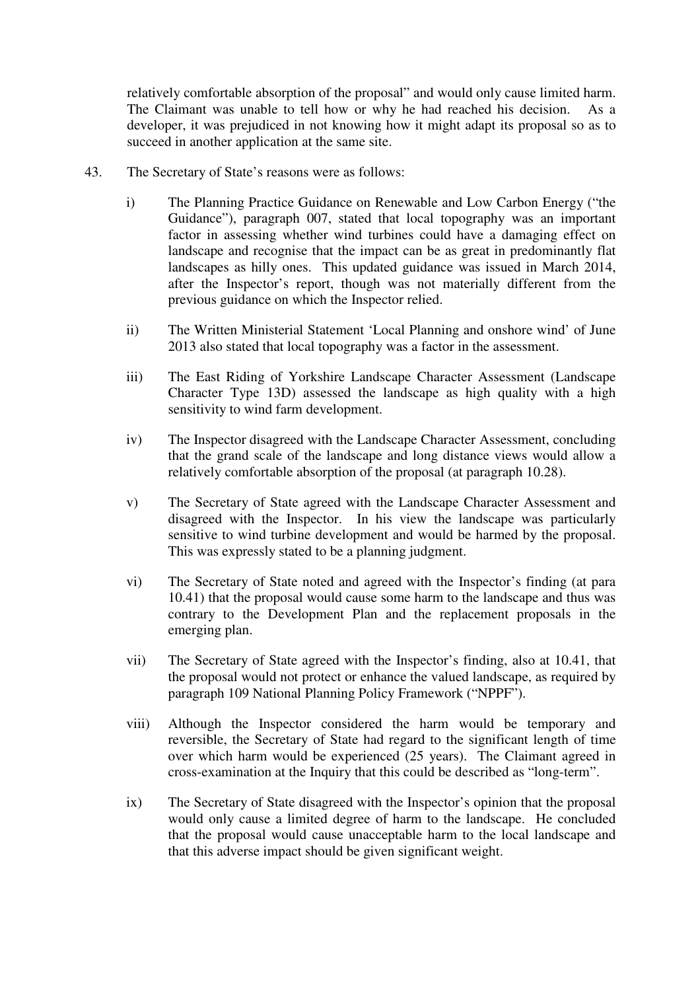relatively comfortable absorption of the proposal" and would only cause limited harm. The Claimant was unable to tell how or why he had reached his decision. As a developer, it was prejudiced in not knowing how it might adapt its proposal so as to succeed in another application at the same site.

- 43. The Secretary of State's reasons were as follows:
	- i) The Planning Practice Guidance on Renewable and Low Carbon Energy ("the Guidance"), paragraph 007, stated that local topography was an important factor in assessing whether wind turbines could have a damaging effect on landscape and recognise that the impact can be as great in predominantly flat landscapes as hilly ones. This updated guidance was issued in March 2014, after the Inspector's report, though was not materially different from the previous guidance on which the Inspector relied.
	- ii) The Written Ministerial Statement 'Local Planning and onshore wind' of June 2013 also stated that local topography was a factor in the assessment.
	- iii) The East Riding of Yorkshire Landscape Character Assessment (Landscape Character Type 13D) assessed the landscape as high quality with a high sensitivity to wind farm development.
	- iv) The Inspector disagreed with the Landscape Character Assessment, concluding that the grand scale of the landscape and long distance views would allow a relatively comfortable absorption of the proposal (at paragraph 10.28).
	- v) The Secretary of State agreed with the Landscape Character Assessment and disagreed with the Inspector. In his view the landscape was particularly sensitive to wind turbine development and would be harmed by the proposal. This was expressly stated to be a planning judgment.
	- vi) The Secretary of State noted and agreed with the Inspector's finding (at para 10.41) that the proposal would cause some harm to the landscape and thus was contrary to the Development Plan and the replacement proposals in the emerging plan.
	- vii) The Secretary of State agreed with the Inspector's finding, also at 10.41, that the proposal would not protect or enhance the valued landscape, as required by paragraph 109 National Planning Policy Framework ("NPPF").
	- viii) Although the Inspector considered the harm would be temporary and reversible, the Secretary of State had regard to the significant length of time over which harm would be experienced (25 years). The Claimant agreed in cross-examination at the Inquiry that this could be described as "long-term".
	- ix) The Secretary of State disagreed with the Inspector's opinion that the proposal would only cause a limited degree of harm to the landscape. He concluded that the proposal would cause unacceptable harm to the local landscape and that this adverse impact should be given significant weight.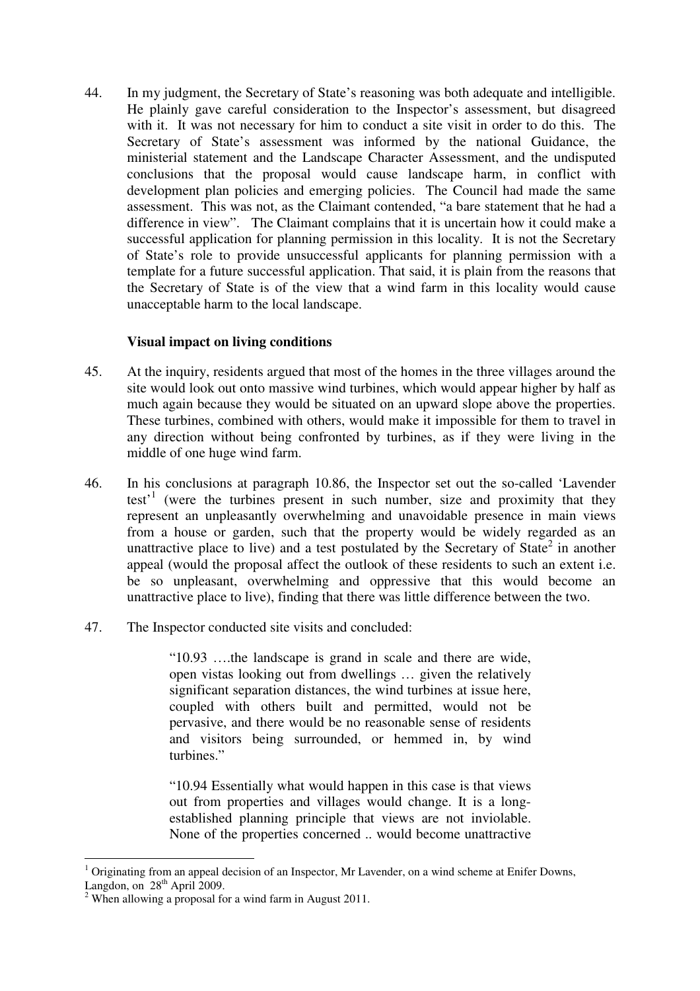44. In my judgment, the Secretary of State's reasoning was both adequate and intelligible. He plainly gave careful consideration to the Inspector's assessment, but disagreed with it. It was not necessary for him to conduct a site visit in order to do this. The Secretary of State's assessment was informed by the national Guidance, the ministerial statement and the Landscape Character Assessment, and the undisputed conclusions that the proposal would cause landscape harm, in conflict with development plan policies and emerging policies. The Council had made the same assessment. This was not, as the Claimant contended, "a bare statement that he had a difference in view". The Claimant complains that it is uncertain how it could make a successful application for planning permission in this locality. It is not the Secretary of State's role to provide unsuccessful applicants for planning permission with a template for a future successful application. That said, it is plain from the reasons that the Secretary of State is of the view that a wind farm in this locality would cause unacceptable harm to the local landscape.

### **Visual impact on living conditions**

- 45. At the inquiry, residents argued that most of the homes in the three villages around the site would look out onto massive wind turbines, which would appear higher by half as much again because they would be situated on an upward slope above the properties. These turbines, combined with others, would make it impossible for them to travel in any direction without being confronted by turbines, as if they were living in the middle of one huge wind farm.
- 46. In his conclusions at paragraph 10.86, the Inspector set out the so-called 'Lavender test'<sup>1</sup> (were the turbines present in such number, size and proximity that they represent an unpleasantly overwhelming and unavoidable presence in main views from a house or garden, such that the property would be widely regarded as an unattractive place to live) and a test postulated by the Secretary of State<sup>2</sup> in another appeal (would the proposal affect the outlook of these residents to such an extent i.e. be so unpleasant, overwhelming and oppressive that this would become an unattractive place to live), finding that there was little difference between the two.
- 47. The Inspector conducted site visits and concluded:

"10.93 ….the landscape is grand in scale and there are wide, open vistas looking out from dwellings … given the relatively significant separation distances, the wind turbines at issue here, coupled with others built and permitted, would not be pervasive, and there would be no reasonable sense of residents and visitors being surrounded, or hemmed in, by wind turbines."

"10.94 Essentially what would happen in this case is that views out from properties and villages would change. It is a longestablished planning principle that views are not inviolable. None of the properties concerned .. would become unattractive

 $\overline{a}$ 

<sup>&</sup>lt;sup>1</sup> Originating from an appeal decision of an Inspector, Mr Lavender, on a wind scheme at Enifer Downs, Langdon, on  $28<sup>th</sup>$  April 2009.

 $2$  When allowing a proposal for a wind farm in August 2011.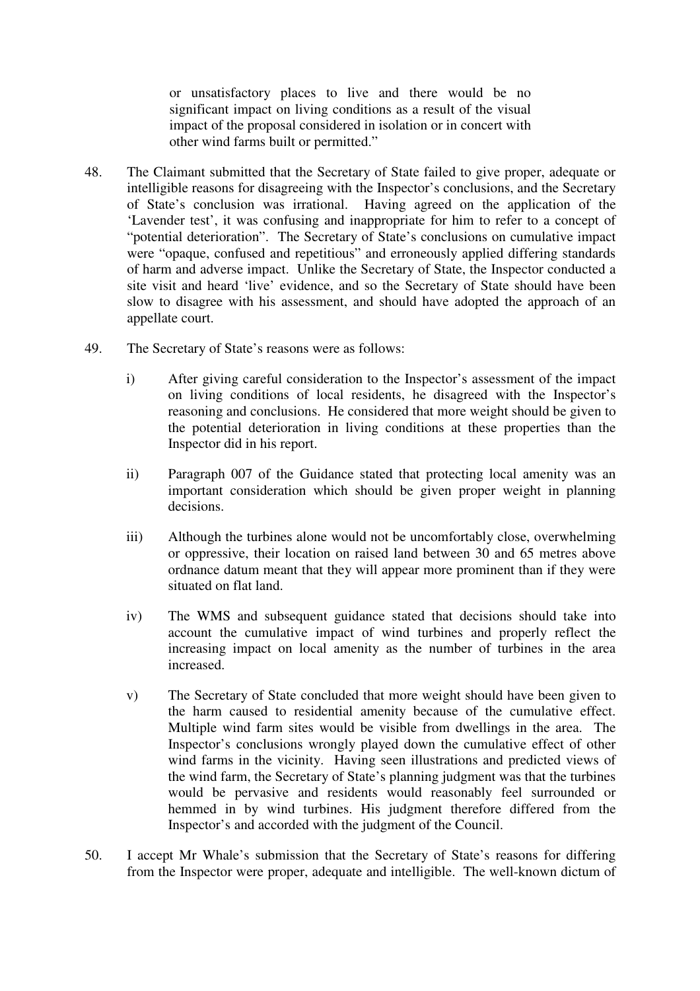or unsatisfactory places to live and there would be no significant impact on living conditions as a result of the visual impact of the proposal considered in isolation or in concert with other wind farms built or permitted."

- 48. The Claimant submitted that the Secretary of State failed to give proper, adequate or intelligible reasons for disagreeing with the Inspector's conclusions, and the Secretary of State's conclusion was irrational. Having agreed on the application of the 'Lavender test', it was confusing and inappropriate for him to refer to a concept of "potential deterioration". The Secretary of State's conclusions on cumulative impact were "opaque, confused and repetitious" and erroneously applied differing standards of harm and adverse impact. Unlike the Secretary of State, the Inspector conducted a site visit and heard 'live' evidence, and so the Secretary of State should have been slow to disagree with his assessment, and should have adopted the approach of an appellate court.
- 49. The Secretary of State's reasons were as follows:
	- i) After giving careful consideration to the Inspector's assessment of the impact on living conditions of local residents, he disagreed with the Inspector's reasoning and conclusions. He considered that more weight should be given to the potential deterioration in living conditions at these properties than the Inspector did in his report.
	- ii) Paragraph 007 of the Guidance stated that protecting local amenity was an important consideration which should be given proper weight in planning decisions.
	- iii) Although the turbines alone would not be uncomfortably close, overwhelming or oppressive, their location on raised land between 30 and 65 metres above ordnance datum meant that they will appear more prominent than if they were situated on flat land.
	- iv) The WMS and subsequent guidance stated that decisions should take into account the cumulative impact of wind turbines and properly reflect the increasing impact on local amenity as the number of turbines in the area increased.
	- v) The Secretary of State concluded that more weight should have been given to the harm caused to residential amenity because of the cumulative effect. Multiple wind farm sites would be visible from dwellings in the area. The Inspector's conclusions wrongly played down the cumulative effect of other wind farms in the vicinity. Having seen illustrations and predicted views of the wind farm, the Secretary of State's planning judgment was that the turbines would be pervasive and residents would reasonably feel surrounded or hemmed in by wind turbines. His judgment therefore differed from the Inspector's and accorded with the judgment of the Council.
- 50. I accept Mr Whale's submission that the Secretary of State's reasons for differing from the Inspector were proper, adequate and intelligible. The well-known dictum of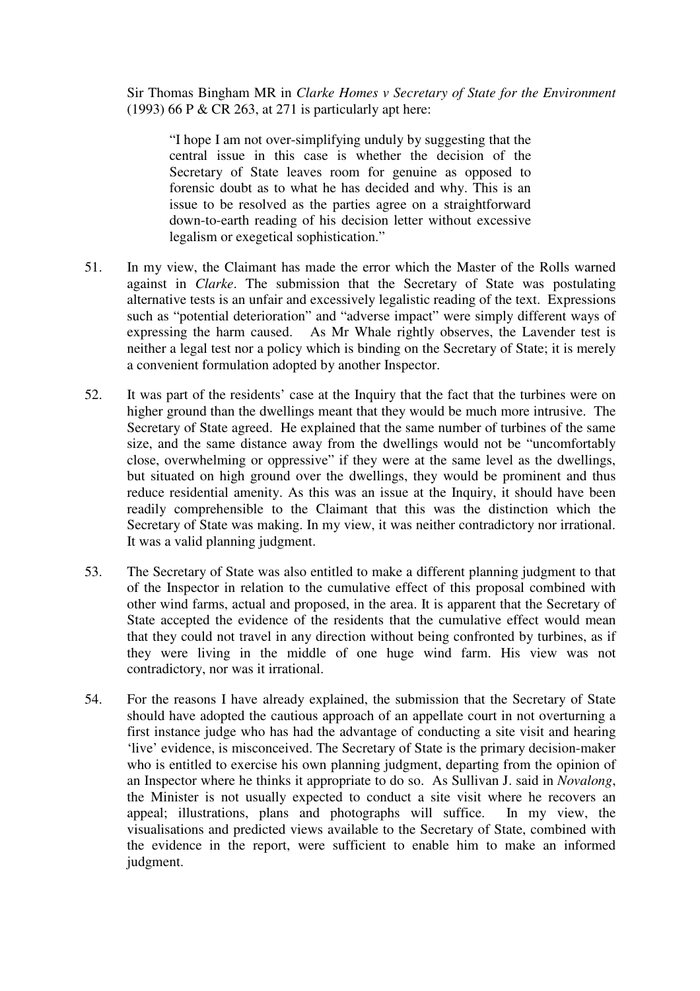Sir Thomas Bingham MR in *Clarke Homes v Secretary of State for the Environment* (1993) 66 P & CR 263, at 271 is particularly apt here:

"I hope I am not over-simplifying unduly by suggesting that the central issue in this case is whether the decision of the Secretary of State leaves room for genuine as opposed to forensic doubt as to what he has decided and why. This is an issue to be resolved as the parties agree on a straightforward down-to-earth reading of his decision letter without excessive legalism or exegetical sophistication."

- 51. In my view, the Claimant has made the error which the Master of the Rolls warned against in *Clarke*. The submission that the Secretary of State was postulating alternative tests is an unfair and excessively legalistic reading of the text. Expressions such as "potential deterioration" and "adverse impact" were simply different ways of expressing the harm caused. As Mr Whale rightly observes, the Lavender test is neither a legal test nor a policy which is binding on the Secretary of State; it is merely a convenient formulation adopted by another Inspector.
- 52. It was part of the residents' case at the Inquiry that the fact that the turbines were on higher ground than the dwellings meant that they would be much more intrusive. The Secretary of State agreed. He explained that the same number of turbines of the same size, and the same distance away from the dwellings would not be "uncomfortably close, overwhelming or oppressive" if they were at the same level as the dwellings, but situated on high ground over the dwellings, they would be prominent and thus reduce residential amenity. As this was an issue at the Inquiry, it should have been readily comprehensible to the Claimant that this was the distinction which the Secretary of State was making. In my view, it was neither contradictory nor irrational. It was a valid planning judgment.
- 53. The Secretary of State was also entitled to make a different planning judgment to that of the Inspector in relation to the cumulative effect of this proposal combined with other wind farms, actual and proposed, in the area. It is apparent that the Secretary of State accepted the evidence of the residents that the cumulative effect would mean that they could not travel in any direction without being confronted by turbines, as if they were living in the middle of one huge wind farm. His view was not contradictory, nor was it irrational.
- 54. For the reasons I have already explained, the submission that the Secretary of State should have adopted the cautious approach of an appellate court in not overturning a first instance judge who has had the advantage of conducting a site visit and hearing 'live' evidence, is misconceived. The Secretary of State is the primary decision-maker who is entitled to exercise his own planning judgment, departing from the opinion of an Inspector where he thinks it appropriate to do so. As Sullivan J. said in *Novalong*, the Minister is not usually expected to conduct a site visit where he recovers an appeal; illustrations, plans and photographs will suffice. In my view, the visualisations and predicted views available to the Secretary of State, combined with the evidence in the report, were sufficient to enable him to make an informed judgment.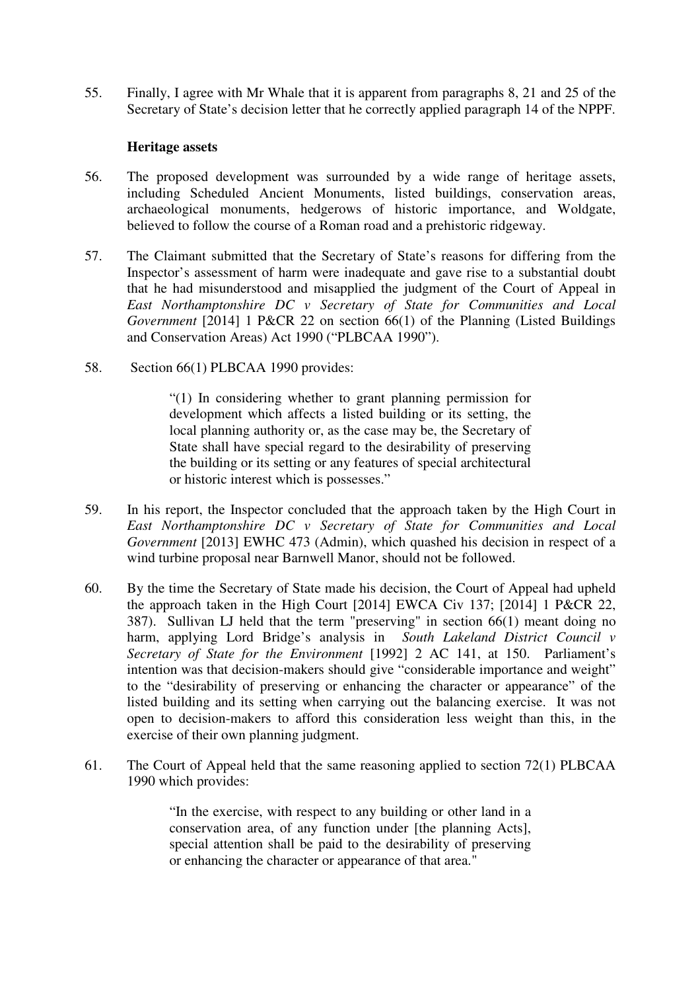55. Finally, I agree with Mr Whale that it is apparent from paragraphs 8, 21 and 25 of the Secretary of State's decision letter that he correctly applied paragraph 14 of the NPPF.

### **Heritage assets**

- 56. The proposed development was surrounded by a wide range of heritage assets, including Scheduled Ancient Monuments, listed buildings, conservation areas, archaeological monuments, hedgerows of historic importance, and Woldgate, believed to follow the course of a Roman road and a prehistoric ridgeway.
- 57. The Claimant submitted that the Secretary of State's reasons for differing from the Inspector's assessment of harm were inadequate and gave rise to a substantial doubt that he had misunderstood and misapplied the judgment of the Court of Appeal in *East Northamptonshire DC v Secretary of State for Communities and Local Government* [2014] 1 P&CR 22 on section 66(1) of the Planning (Listed Buildings and Conservation Areas) Act 1990 ("PLBCAA 1990").
- 58. Section 66(1) PLBCAA 1990 provides:

"(1) In considering whether to grant planning permission for development which affects a listed building or its setting, the local planning authority or, as the case may be, the Secretary of State shall have special regard to the desirability of preserving the building or its setting or any features of special architectural or historic interest which is possesses."

- 59. In his report, the Inspector concluded that the approach taken by the High Court in *East Northamptonshire DC v Secretary of State for Communities and Local Government* [2013] EWHC 473 (Admin), which quashed his decision in respect of a wind turbine proposal near Barnwell Manor, should not be followed.
- 60. By the time the Secretary of State made his decision, the Court of Appeal had upheld the approach taken in the High Court [2014] EWCA Civ 137; [2014] 1 P&CR 22, 387). Sullivan LJ held that the term "preserving" in section 66(1) meant doing no harm, applying Lord Bridge's analysis in *South Lakeland District Council v Secretary of State for the Environment* [1992] 2 AC 141, at 150. Parliament's intention was that decision-makers should give "considerable importance and weight" to the "desirability of preserving or enhancing the character or appearance" of the listed building and its setting when carrying out the balancing exercise. It was not open to decision-makers to afford this consideration less weight than this, in the exercise of their own planning judgment.
- 61. The Court of Appeal held that the same reasoning applied to section 72(1) PLBCAA 1990 which provides:

"In the exercise, with respect to any building or other land in a conservation area, of any function under [the planning Acts], special attention shall be paid to the desirability of preserving or enhancing the character or appearance of that area."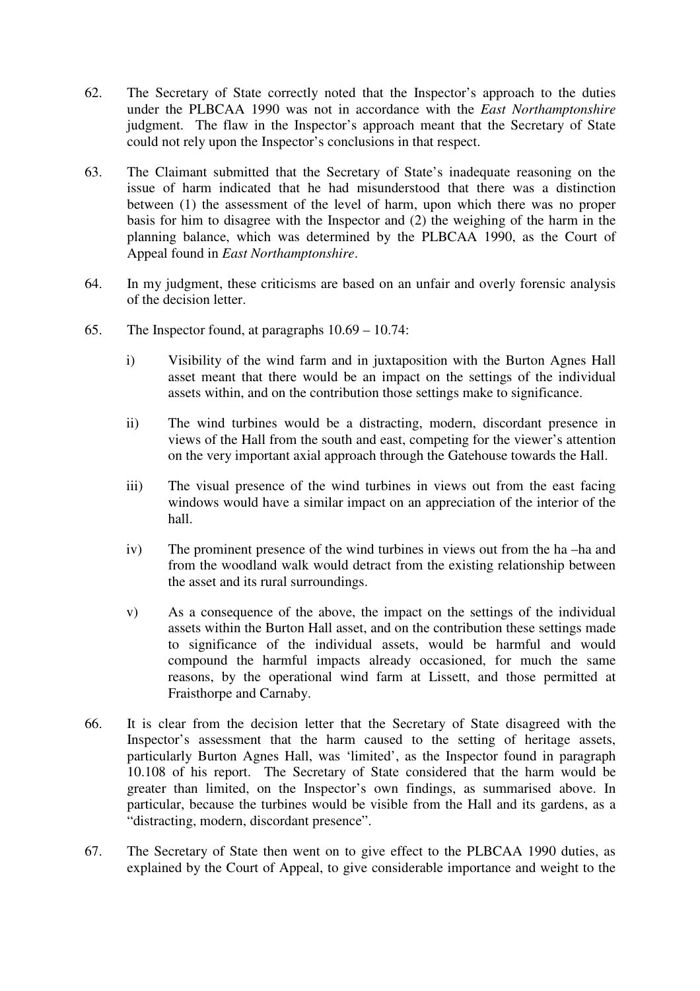- 62. The Secretary of State correctly noted that the Inspector's approach to the duties under the PLBCAA 1990 was not in accordance with the *East Northamptonshire*  judgment. The flaw in the Inspector's approach meant that the Secretary of State could not rely upon the Inspector's conclusions in that respect.
- 63. The Claimant submitted that the Secretary of State's inadequate reasoning on the issue of harm indicated that he had misunderstood that there was a distinction between (1) the assessment of the level of harm, upon which there was no proper basis for him to disagree with the Inspector and (2) the weighing of the harm in the planning balance, which was determined by the PLBCAA 1990, as the Court of Appeal found in *East Northamptonshire*.
- 64. In my judgment, these criticisms are based on an unfair and overly forensic analysis of the decision letter.
- 65. The Inspector found, at paragraphs 10.69 10.74:
	- i) Visibility of the wind farm and in juxtaposition with the Burton Agnes Hall asset meant that there would be an impact on the settings of the individual assets within, and on the contribution those settings make to significance.
	- ii) The wind turbines would be a distracting, modern, discordant presence in views of the Hall from the south and east, competing for the viewer's attention on the very important axial approach through the Gatehouse towards the Hall.
	- iii) The visual presence of the wind turbines in views out from the east facing windows would have a similar impact on an appreciation of the interior of the hall.
	- iv) The prominent presence of the wind turbines in views out from the ha –ha and from the woodland walk would detract from the existing relationship between the asset and its rural surroundings.
	- v) As a consequence of the above, the impact on the settings of the individual assets within the Burton Hall asset, and on the contribution these settings made to significance of the individual assets, would be harmful and would compound the harmful impacts already occasioned, for much the same reasons, by the operational wind farm at Lissett, and those permitted at Fraisthorpe and Carnaby.
- 66. It is clear from the decision letter that the Secretary of State disagreed with the Inspector's assessment that the harm caused to the setting of heritage assets, particularly Burton Agnes Hall, was 'limited', as the Inspector found in paragraph 10.108 of his report. The Secretary of State considered that the harm would be greater than limited, on the Inspector's own findings, as summarised above. In particular, because the turbines would be visible from the Hall and its gardens, as a "distracting, modern, discordant presence".
- 67. The Secretary of State then went on to give effect to the PLBCAA 1990 duties, as explained by the Court of Appeal, to give considerable importance and weight to the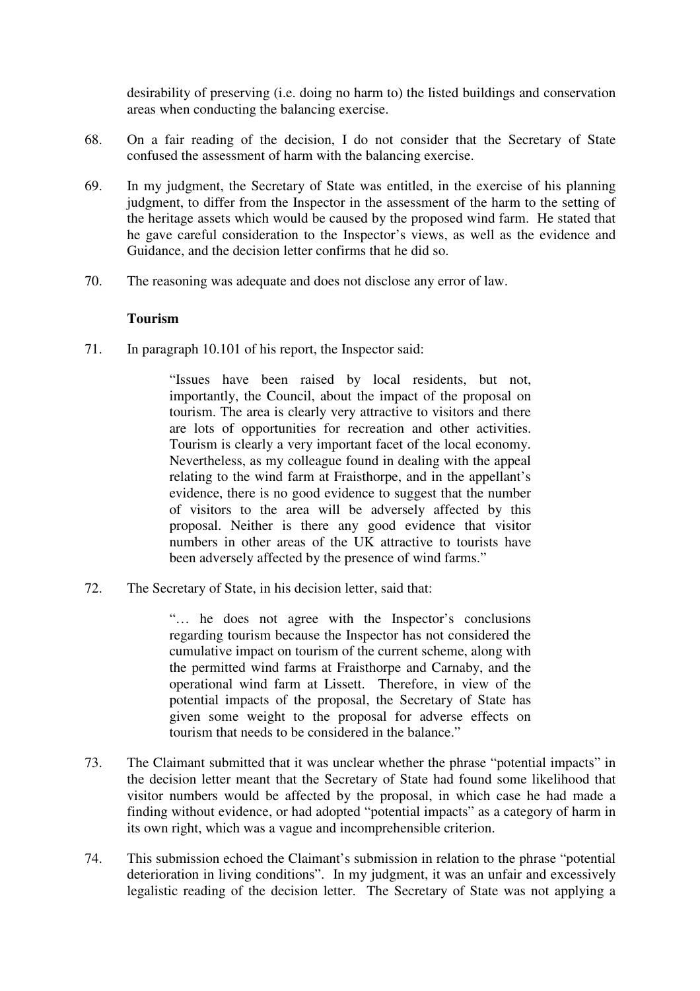desirability of preserving (i.e. doing no harm to) the listed buildings and conservation areas when conducting the balancing exercise.

- 68. On a fair reading of the decision, I do not consider that the Secretary of State confused the assessment of harm with the balancing exercise.
- 69. In my judgment, the Secretary of State was entitled, in the exercise of his planning judgment, to differ from the Inspector in the assessment of the harm to the setting of the heritage assets which would be caused by the proposed wind farm. He stated that he gave careful consideration to the Inspector's views, as well as the evidence and Guidance, and the decision letter confirms that he did so.
- 70. The reasoning was adequate and does not disclose any error of law.

### **Tourism**

71. In paragraph 10.101 of his report, the Inspector said:

"Issues have been raised by local residents, but not, importantly, the Council, about the impact of the proposal on tourism. The area is clearly very attractive to visitors and there are lots of opportunities for recreation and other activities. Tourism is clearly a very important facet of the local economy. Nevertheless, as my colleague found in dealing with the appeal relating to the wind farm at Fraisthorpe, and in the appellant's evidence, there is no good evidence to suggest that the number of visitors to the area will be adversely affected by this proposal. Neither is there any good evidence that visitor numbers in other areas of the UK attractive to tourists have been adversely affected by the presence of wind farms."

72. The Secretary of State, in his decision letter, said that:

"… he does not agree with the Inspector's conclusions regarding tourism because the Inspector has not considered the cumulative impact on tourism of the current scheme, along with the permitted wind farms at Fraisthorpe and Carnaby, and the operational wind farm at Lissett. Therefore, in view of the potential impacts of the proposal, the Secretary of State has given some weight to the proposal for adverse effects on tourism that needs to be considered in the balance."

- 73. The Claimant submitted that it was unclear whether the phrase "potential impacts" in the decision letter meant that the Secretary of State had found some likelihood that visitor numbers would be affected by the proposal, in which case he had made a finding without evidence, or had adopted "potential impacts" as a category of harm in its own right, which was a vague and incomprehensible criterion.
- 74. This submission echoed the Claimant's submission in relation to the phrase "potential deterioration in living conditions". In my judgment, it was an unfair and excessively legalistic reading of the decision letter. The Secretary of State was not applying a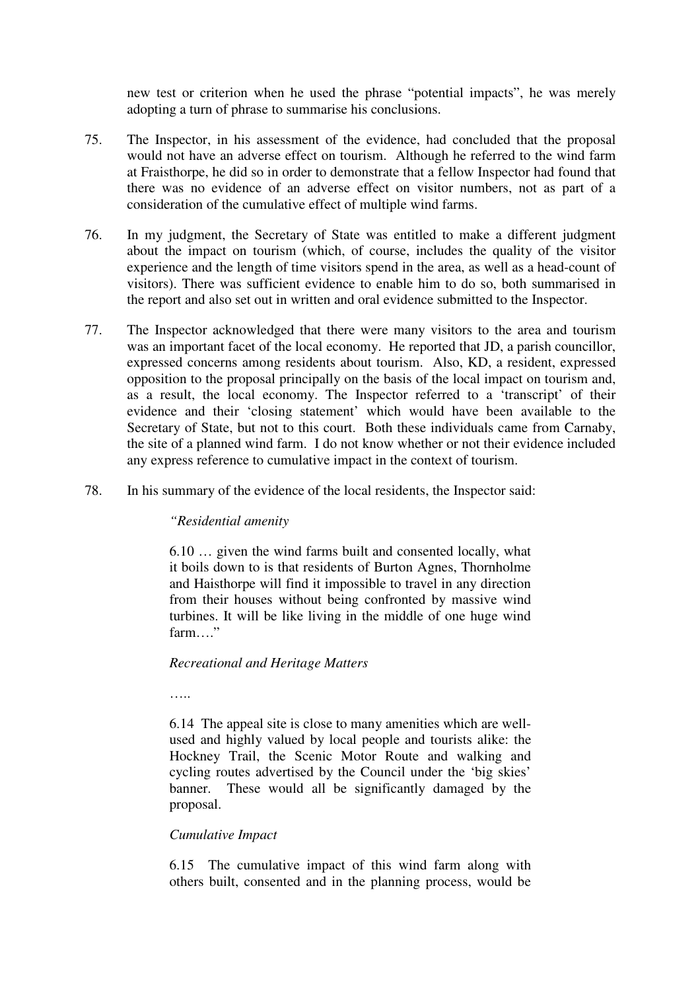new test or criterion when he used the phrase "potential impacts", he was merely adopting a turn of phrase to summarise his conclusions.

- 75. The Inspector, in his assessment of the evidence, had concluded that the proposal would not have an adverse effect on tourism. Although he referred to the wind farm at Fraisthorpe, he did so in order to demonstrate that a fellow Inspector had found that there was no evidence of an adverse effect on visitor numbers, not as part of a consideration of the cumulative effect of multiple wind farms.
- 76. In my judgment, the Secretary of State was entitled to make a different judgment about the impact on tourism (which, of course, includes the quality of the visitor experience and the length of time visitors spend in the area, as well as a head-count of visitors). There was sufficient evidence to enable him to do so, both summarised in the report and also set out in written and oral evidence submitted to the Inspector.
- 77. The Inspector acknowledged that there were many visitors to the area and tourism was an important facet of the local economy. He reported that JD, a parish councillor, expressed concerns among residents about tourism. Also, KD, a resident, expressed opposition to the proposal principally on the basis of the local impact on tourism and, as a result, the local economy. The Inspector referred to a 'transcript' of their evidence and their 'closing statement' which would have been available to the Secretary of State, but not to this court. Both these individuals came from Carnaby, the site of a planned wind farm. I do not know whether or not their evidence included any express reference to cumulative impact in the context of tourism.
- 78. In his summary of the evidence of the local residents, the Inspector said:

*"Residential amenity* 

6.10 … given the wind farms built and consented locally, what it boils down to is that residents of Burton Agnes, Thornholme and Haisthorpe will find it impossible to travel in any direction from their houses without being confronted by massive wind turbines. It will be like living in the middle of one huge wind farm…."

# *Recreational and Heritage Matters*

……

6.14 The appeal site is close to many amenities which are wellused and highly valued by local people and tourists alike: the Hockney Trail, the Scenic Motor Route and walking and cycling routes advertised by the Council under the 'big skies' banner. These would all be significantly damaged by the proposal.

# *Cumulative Impact*

6.15 The cumulative impact of this wind farm along with others built, consented and in the planning process, would be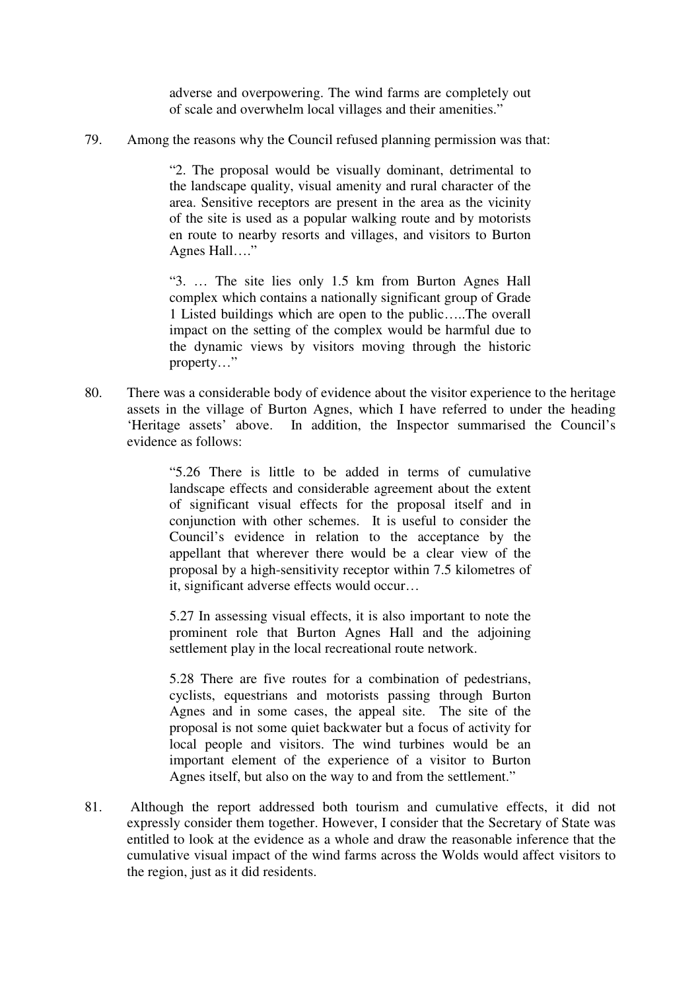adverse and overpowering. The wind farms are completely out of scale and overwhelm local villages and their amenities."

79. Among the reasons why the Council refused planning permission was that:

"2. The proposal would be visually dominant, detrimental to the landscape quality, visual amenity and rural character of the area. Sensitive receptors are present in the area as the vicinity of the site is used as a popular walking route and by motorists en route to nearby resorts and villages, and visitors to Burton Agnes Hall…."

"3. … The site lies only 1.5 km from Burton Agnes Hall complex which contains a nationally significant group of Grade 1 Listed buildings which are open to the public…..The overall impact on the setting of the complex would be harmful due to the dynamic views by visitors moving through the historic property…"

80. There was a considerable body of evidence about the visitor experience to the heritage assets in the village of Burton Agnes, which I have referred to under the heading 'Heritage assets' above. In addition, the Inspector summarised the Council's evidence as follows:

> "5.26 There is little to be added in terms of cumulative landscape effects and considerable agreement about the extent of significant visual effects for the proposal itself and in conjunction with other schemes. It is useful to consider the Council's evidence in relation to the acceptance by the appellant that wherever there would be a clear view of the proposal by a high-sensitivity receptor within 7.5 kilometres of it, significant adverse effects would occur…

> 5.27 In assessing visual effects, it is also important to note the prominent role that Burton Agnes Hall and the adjoining settlement play in the local recreational route network.

> 5.28 There are five routes for a combination of pedestrians, cyclists, equestrians and motorists passing through Burton Agnes and in some cases, the appeal site. The site of the proposal is not some quiet backwater but a focus of activity for local people and visitors. The wind turbines would be an important element of the experience of a visitor to Burton Agnes itself, but also on the way to and from the settlement."

81. Although the report addressed both tourism and cumulative effects, it did not expressly consider them together. However, I consider that the Secretary of State was entitled to look at the evidence as a whole and draw the reasonable inference that the cumulative visual impact of the wind farms across the Wolds would affect visitors to the region, just as it did residents.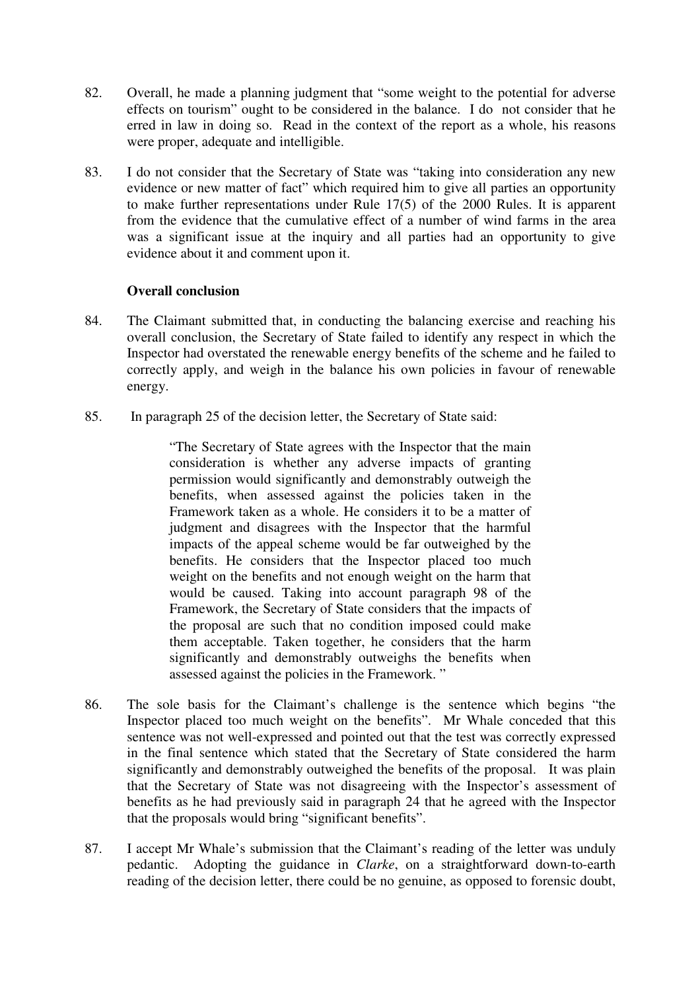- 82. Overall, he made a planning judgment that "some weight to the potential for adverse effects on tourism" ought to be considered in the balance. I do not consider that he erred in law in doing so. Read in the context of the report as a whole, his reasons were proper, adequate and intelligible.
- 83. I do not consider that the Secretary of State was "taking into consideration any new evidence or new matter of fact" which required him to give all parties an opportunity to make further representations under Rule 17(5) of the 2000 Rules. It is apparent from the evidence that the cumulative effect of a number of wind farms in the area was a significant issue at the inquiry and all parties had an opportunity to give evidence about it and comment upon it.

### **Overall conclusion**

- 84. The Claimant submitted that, in conducting the balancing exercise and reaching his overall conclusion, the Secretary of State failed to identify any respect in which the Inspector had overstated the renewable energy benefits of the scheme and he failed to correctly apply, and weigh in the balance his own policies in favour of renewable energy.
- 85. In paragraph 25 of the decision letter, the Secretary of State said:

"The Secretary of State agrees with the Inspector that the main consideration is whether any adverse impacts of granting permission would significantly and demonstrably outweigh the benefits, when assessed against the policies taken in the Framework taken as a whole. He considers it to be a matter of judgment and disagrees with the Inspector that the harmful impacts of the appeal scheme would be far outweighed by the benefits. He considers that the Inspector placed too much weight on the benefits and not enough weight on the harm that would be caused. Taking into account paragraph 98 of the Framework, the Secretary of State considers that the impacts of the proposal are such that no condition imposed could make them acceptable. Taken together, he considers that the harm significantly and demonstrably outweighs the benefits when assessed against the policies in the Framework. "

- 86. The sole basis for the Claimant's challenge is the sentence which begins "the Inspector placed too much weight on the benefits". Mr Whale conceded that this sentence was not well-expressed and pointed out that the test was correctly expressed in the final sentence which stated that the Secretary of State considered the harm significantly and demonstrably outweighed the benefits of the proposal. It was plain that the Secretary of State was not disagreeing with the Inspector's assessment of benefits as he had previously said in paragraph 24 that he agreed with the Inspector that the proposals would bring "significant benefits".
- 87. I accept Mr Whale's submission that the Claimant's reading of the letter was unduly pedantic. Adopting the guidance in *Clarke*, on a straightforward down-to-earth reading of the decision letter, there could be no genuine, as opposed to forensic doubt,